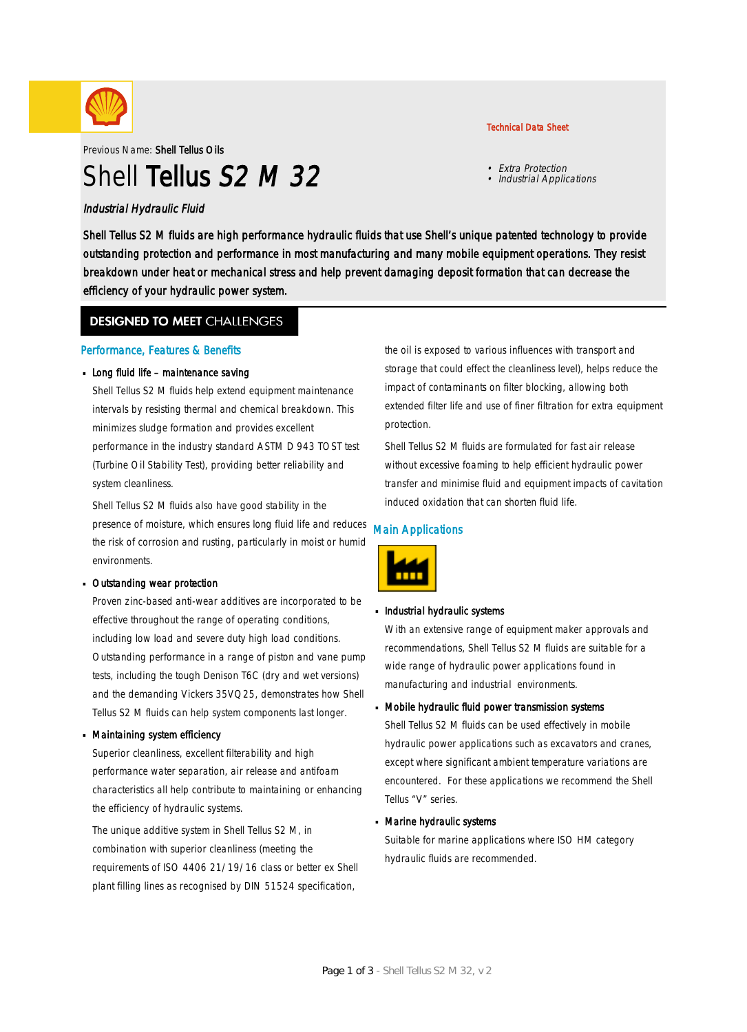

Previous Name: Shell Tellus Oils

# Shell Tellus S2 M 32

### Industrial Hydraulic Fluid

Shell Tellus S2 M fluids are high performance hydraulic fluids that use Shell's unique patented technology to provide outstanding protection and performance in most manufacturing and many mobile equipment operations. They resist breakdown under heat or mechanical stress and help prevent damaging deposit formation that can decrease the efficiency of your hydraulic power system.

### **DESIGNED TO MEET CHALLENGES**

### Performance, Features & Benefits

### Long fluid life – maintenance saving

Shell Tellus S2 M fluids help extend equipment maintenance intervals by resisting thermal and chemical breakdown. This minimizes sludge formation and provides excellent performance in the industry standard ASTM D 943 TOST test (Turbine Oil Stability Test), providing better reliability and system cleanliness.

Shell Tellus S2 M fluids also have good stability in the presence of moisture, which ensures long fluid life and reduces the risk of corrosion and rusting, particularly in moist or humid environments.

#### Outstanding wear protection ·

Proven zinc-based anti-wear additives are incorporated to be effective throughout the range of operating conditions, including low load and severe duty high load conditions. Outstanding performance in a range of piston and vane pump tests, including the tough Denison T6C (dry and wet versions) and the demanding Vickers 35VQ25, demonstrates how Shell Tellus S2 M fluids can help system components last longer.

#### Maintaining system efficiency ·

Superior cleanliness, excellent filterability and high performance water separation, air release and antifoam characteristics all help contribute to maintaining or enhancing the efficiency of hydraulic systems.

The unique additive system in Shell Tellus S2 M, in combination with superior cleanliness (meeting the requirements of ISO 4406 21/19/16 class or better ex Shell plant filling lines as recognised by DIN 51524 specification,

the oil is exposed to various influences with transport and storage that could effect the cleanliness level), helps reduce the impact of contaminants on filter blocking, allowing both extended filter life and use of finer filtration for extra equipment protection.

Shell Tellus S2 M fluids are formulated for fast air release without excessive foaming to help efficient hydraulic power transfer and minimise fluid and equipment impacts of cavitation induced oxidation that can shorten fluid life.

### Main Applications



## **Industrial hydraulic systems**

With an extensive range of equipment maker approvals and recommendations, Shell Tellus S2 M fluids are suitable for a wide range of hydraulic power applications found in manufacturing and industrial environments.

## Mobile hydraulic fluid power transmission systems ·

Shell Tellus S2 M fluids can be used effectively in mobile hydraulic power applications such as excavators and cranes, except where significant ambient temperature variations are encountered. For these applications we recommend the Shell Tellus "V" series.

## Marine hydraulic systems ·

Suitable for marine applications where ISO HM category hydraulic fluids are recommended.

### Technical Data Sheet

• Extra Protection • Industrial Applications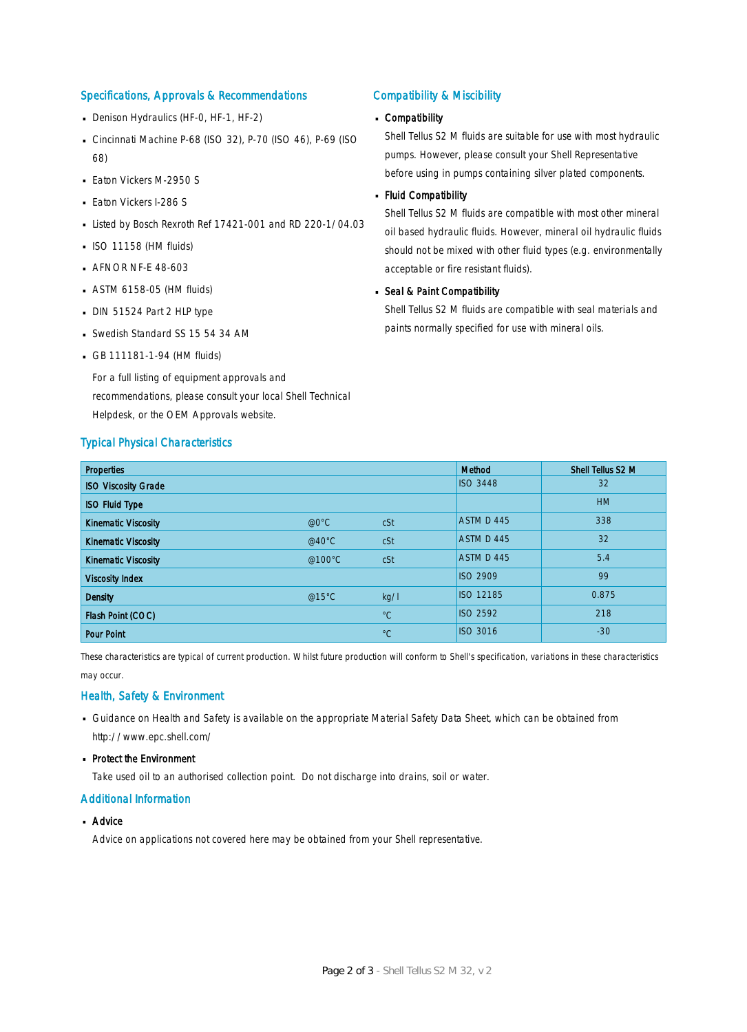### Specifications, Approvals & Recommendations

- Denison Hydraulics (HF-0, HF-1, HF-2)
- Cincinnati Machine P-68 (ISO 32), P-70 (ISO 46), P-69 (ISO 68)
- **Eaton Vickers M-2950 S**
- **Eaton Vickers I-286 S**
- Listed by Bosch Rexroth Ref 17421-001 and RD 220-1/04.03
- $\blacksquare$  ISO 11158 (HM fluids)
- **AFNOR NF-E 48-603**
- ASTM 6158-05 (HM fluids) ·
- DIN 51524 Part 2 HLP type
- Swedish Standard SS 15 54 34 AM
- GB 111181-1-94 (HM fluids)

For a full listing of equipment approvals and recommendations, please consult your local Shell Technical Helpdesk, or the OEM Approvals website.

#### Typical Physical Characteristics

#### Compatibility & Miscibility

## Compatibility ·

Shell Tellus S2 M fluids are suitable for use with most hydraulic pumps. However, please consult your Shell Representative before using in pumps containing silver plated components.

#### Fluid Compatibility ·

Shell Tellus S2 M fluids are compatible with most other mineral oil based hydraulic fluids. However, mineral oil hydraulic fluids should not be mixed with other fluid types (e.g. environmentally acceptable or fire resistant fluids).

## Seal & Paint Compatibility

Shell Tellus S2 M fluids are compatible with seal materials and paints normally specified for use with mineral oils.

| <b>Properties</b>          |               |             | Method           | Shell Tellus S2 M |
|----------------------------|---------------|-------------|------------------|-------------------|
| <b>ISO Viscosity Grade</b> |               |             | <b>ISO 3448</b>  | 32                |
| <b>ISO Fluid Type</b>      |               |             |                  | <b>HM</b>         |
| <b>Kinematic Viscosity</b> | $@0^{\circ}C$ | cSt         | ASTM D 445       | 338               |
| <b>Kinematic Viscosity</b> | @40°C         | cSt         | ASTM D 445       | 32                |
| <b>Kinematic Viscosity</b> | @100°C        | cSt         | ASTM D 445       | 5.4               |
| <b>Viscosity Index</b>     |               |             | <b>ISO 2909</b>  | 99                |
| <b>Density</b>             | @15°C         | kq/l        | <b>ISO 12185</b> | 0.875             |
| Flash Point (COC)          |               | $^{\circ}C$ | <b>ISO 2592</b>  | 218               |
| <b>Pour Point</b>          |               | $^{\circ}C$ | <b>ISO 3016</b>  | $-30$             |

These characteristics are typical of current production. Whilst future production will conform to Shell's specification, variations in these characteristics may occur.

### Health, Safety & Environment

- Guidance on Health and Safety is available on the appropriate Material Safety Data Sheet, which can be obtained from http://www.epc.shell.com/
- Protect the Environment

Take used oil to an authorised collection point. Do not discharge into drains, soil or water.

### Additional Information

■ Advice

Advice on applications not covered here may be obtained from your Shell representative.